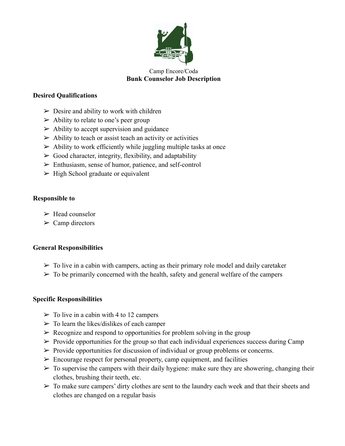

#### Camp Encore/Coda **Bunk Counselor Job Description**

## **Desired Qualifications**

- $\triangleright$  Desire and ability to work with children
- $\triangleright$  Ability to relate to one's peer group
- $\triangleright$  Ability to accept supervision and guidance
- $\triangleright$  Ability to teach or assist teach an activity or activities
- $\triangleright$  Ability to work efficiently while juggling multiple tasks at once
- $\triangleright$  Good character, integrity, flexibility, and adaptability
- ➢ Enthusiasm, sense of humor, patience, and self-control
- $\triangleright$  High School graduate or equivalent

## **Responsible to**

- $\triangleright$  Head counselor
- $\triangleright$  Camp directors

# **General Responsibilities**

- $\triangleright$  To live in a cabin with campers, acting as their primary role model and daily caretaker
- $\triangleright$  To be primarily concerned with the health, safety and general welfare of the campers

# **Specific Responsibilities**

- $\geq$  To live in a cabin with 4 to 12 campers
- $\triangleright$  To learn the likes/dislikes of each camper
- $\triangleright$  Recognize and respond to opportunities for problem solving in the group
- $\triangleright$  Provide opportunities for the group so that each individual experiences success during Camp
- $\triangleright$  Provide opportunities for discussion of individual or group problems or concerns.
- $\triangleright$  Encourage respect for personal property, camp equipment, and facilities
- $\triangleright$  To supervise the campers with their daily hygiene: make sure they are showering, changing their clothes, brushing their teeth, etc.
- $\triangleright$  To make sure campers' dirty clothes are sent to the laundry each week and that their sheets and clothes are changed on a regular basis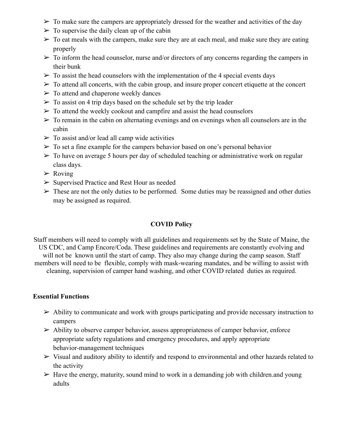- $\triangleright$  To make sure the campers are appropriately dressed for the weather and activities of the day
- $\triangleright$  To supervise the daily clean up of the cabin
- $\triangleright$  To eat meals with the campers, make sure they are at each meal, and make sure they are eating properly
- $\triangleright$  To inform the head counselor, nurse and/or directors of any concerns regarding the campers in their bunk
- $\triangleright$  To assist the head counselors with the implementation of the 4 special events days
- $\triangleright$  To attend all concerts, with the cabin group, and insure proper concert etiquette at the concert
- $\triangleright$  To attend and chaperone weekly dances
- $\triangleright$  To assist on 4 trip days based on the schedule set by the trip leader
- $\triangleright$  To attend the weekly cookout and campfire and assist the head counselors
- $\triangleright$  To remain in the cabin on alternating evenings and on evenings when all counselors are in the cabin
- $\triangleright$  To assist and/or lead all camp wide activities
- $\triangleright$  To set a fine example for the campers behavior based on one's personal behavior
- $\geq$  To have on average 5 hours per day of scheduled teaching or administrative work on regular class days.
- $\triangleright$  Roving
- ➢ Supervised Practice and Rest Hour as needed
- $\triangleright$  These are not the only duties to be performed. Some duties may be reassigned and other duties may be assigned as required.

## **COVID Policy**

Staff members will need to comply with all guidelines and requirements set by the State of Maine, the US CDC, and Camp Encore/Coda. These guidelines and requirements are constantly evolving and will not be known until the start of camp. They also may change during the camp season. Staff members will need to be flexible, comply with mask-wearing mandates, and be willing to assist with cleaning, supervision of camper hand washing, and other COVID related duties as required.

#### **Essential Functions**

- $\triangleright$  Ability to communicate and work with groups participating and provide necessary instruction to campers
- $\triangleright$  Ability to observe camper behavior, assess appropriateness of camper behavior, enforce appropriate safety regulations and emergency procedures, and apply appropriate behavior-management techniques
- $\triangleright$  Visual and auditory ability to identify and respond to environmental and other hazards related to the activity
- $\triangleright$  Have the energy, maturity, sound mind to work in a demanding job with children. and young adults